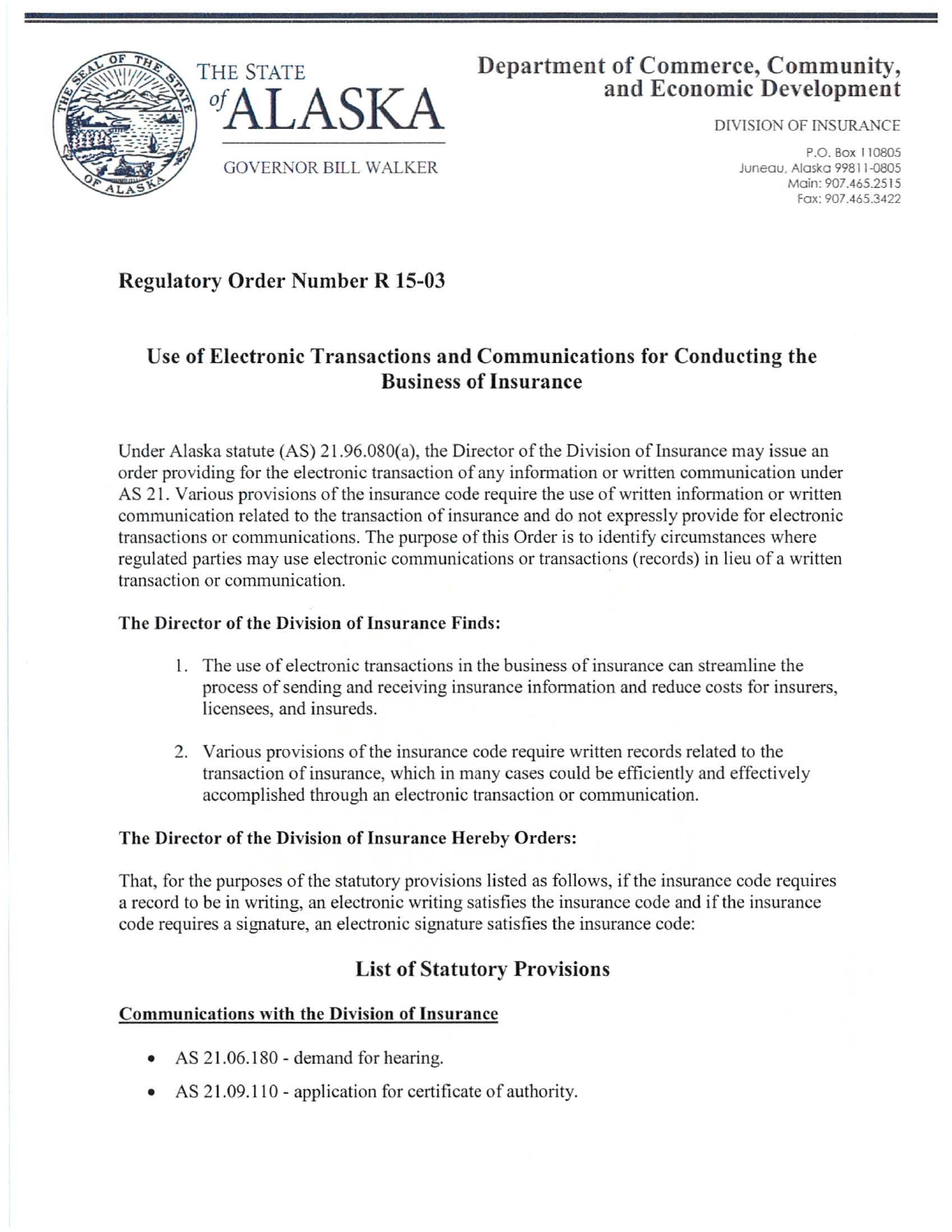



### **Department of Commerce, Community, and Economic Development**

DlVISION OF INSURANCE

P.O. Box 110805 Juneau, Alaska 99811-0805 Main: 907.465.2515 Fox: 907.465.3422

# **Regulatory Order Number R 15-03**

## **Use of Electronic Transactions and Communications for Conducting the Business of Insurance**

Under Alaska statute  $(AS)$  21.96.080(a), the Director of the Division of Insurance may issue an order providing for the electronic transaction of any information or written communication under AS 2 1. Various provisions of the insurance code require the use of written information or written communication related to the transaction of insurance and do not expressly provide for electronic transactions or communications. The purpose of this Order is to identify circumstances where regulated parties may use electronic communications or transactions (records) in lieu of a written transaction or communication.

### **The Director of the Division of Insurance Finds:**

- I. The use of electronic transactions in the business of insurance can streamline the process of sending and receiving insurance information and reduce costs for insurers, licensees, and insureds.
- 2. Various provisions of the insurance code require written records related to the transaction of insurance, which in many cases could be efficiently and effectively accomplished through an electronic transaction or communication.

### **The Director of the Division of Insurance Hereby Orders:**

That, for the purposes of the statutory provisions listed as follows, if the insurance code requires a record to be in writing, an electronic writing satisfies the insurance code and if the insurance code requires a signature, an electronic signature satisfies the insurance code:

### **List of Statutory Provisions**

### **Communications with the Division of Insurance**

- AS 21.06.180 demand for hearing.
- AS 21.09.110 application for certificate of authority.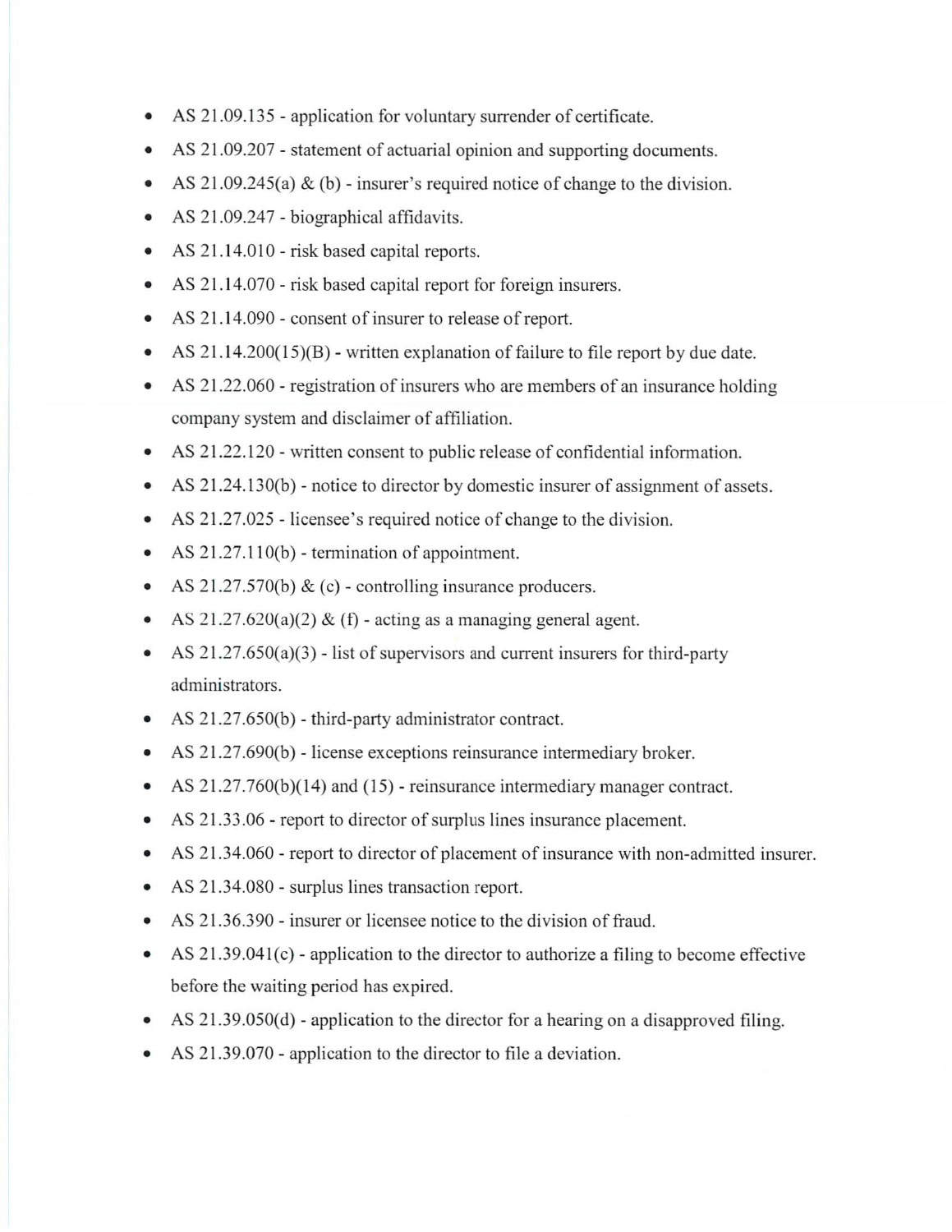- AS 21.09.135 application for voluntary surrender of certificate.
- AS 21.09.207 statement of actuarial opinion and supporting documents.
- AS 21.09.245(a) & (b) insurer's required notice of change to the division.
- AS 21.09.247 biographical affidavits.
- AS 21.14.010 risk based capital reports.
- AS 21.14.070 risk based capital report for foreign insurers.
- AS 21.14.090 consent of insurer to release of report.
- AS 21.14.200(15)(B) written explanation of failure to file report by due date.
- AS 21.22.060 registration of insurers who are members of an insurance holding company system and disclaimer of affiliation.
- AS 21.22.120 written consent to public release of confidential information.
- AS 21.24.130(b) notice to director by domestic insurer of assignment of assets.
- AS 21.27.025 licensee's required notice of change to the division.
- AS 21.27.110(b) termination of appointment.
- AS 21.27.570(b) & (c) controlling insurance producers.
- AS  $21.27.620(a)(2)$  & (f) acting as a managing general agent.
- AS  $21.27.650(a)(3)$  list of supervisors and current insurers for third-party administrators.
- AS 21.27.650(b) third-party administrator contract.
- AS 21.27 .690(b) license exceptions reinsurance intermediary broker.
- AS 21.27.760(b)(14) and (15) reinsurance intermediary manager contract.
- AS 21.33.06 report to director of surplus lines insurance placement.
- AS 21.34.060 report to director of placement of insurance with non-admitted insurer.
- AS 21.34.080 surplus lines transaction report.
- AS 21.36.390 insurer or licensee notice to the division of fraud.
- AS 21.39.041(c) application to the director to authorize a filing to become effective before the waiting period has expired.
- AS  $21.39.050(d)$  application to the director for a hearing on a disapproved filing.
- AS 21.39.070 application to the director to file a deviation.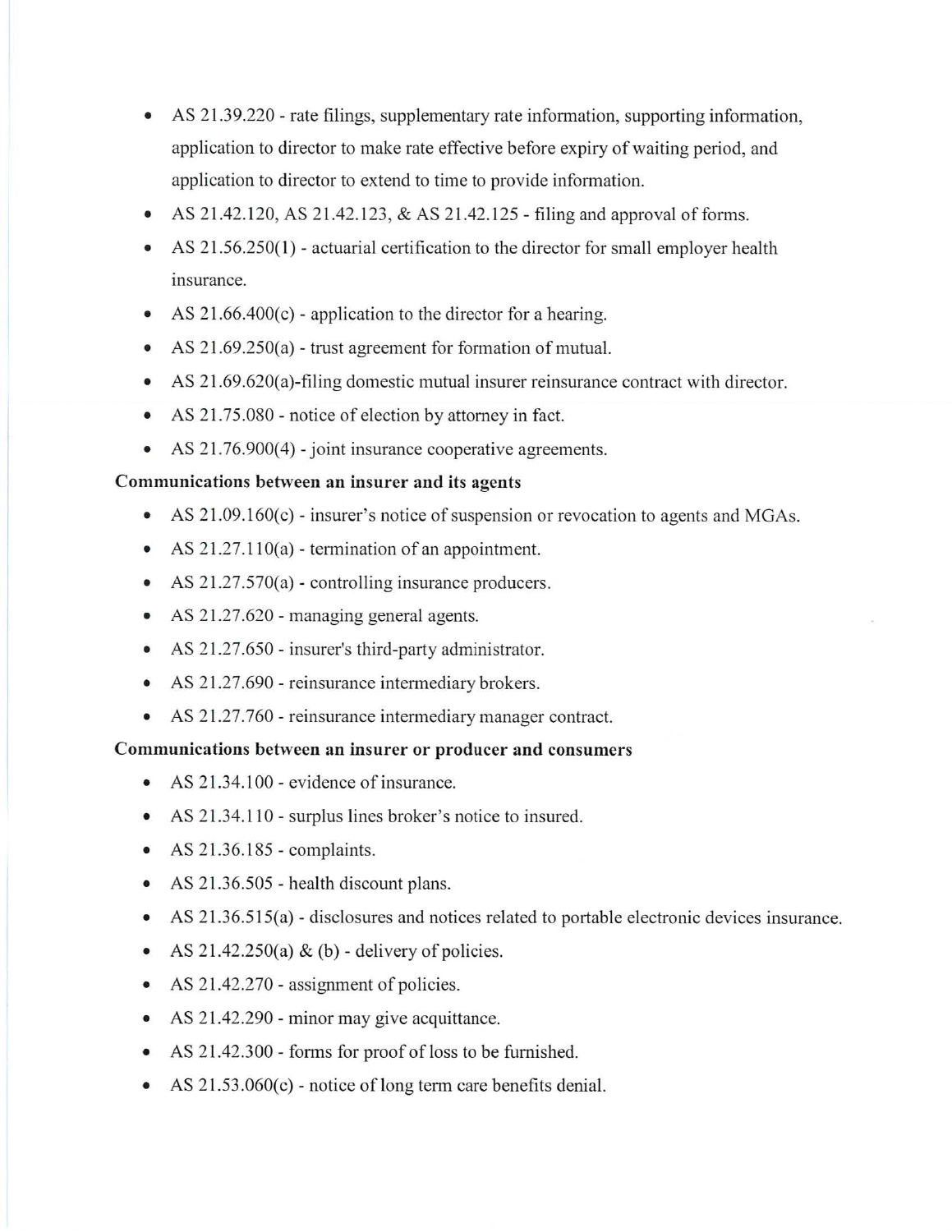- AS 21.39.220 rate filings, supplementary rate information, supporting information, application to director to make rate effective before expiry of waiting period, and application to director to extend to time to provide information.
- AS 21.42.120, AS 21.42.123, & AS 21.42.125 filing and approval of forms.
- AS 21.56.250(1) actuarial certification to the director for small employer health insurance.
- AS  $21.66.400(c)$  application to the director for a hearing.
- AS 21.69.250(a) trust agreement for formation of mutual.
- AS 21.69.620(a)-filing domestic mutual insurer reinsurance contract with director.
- AS 21.75.080 notice of election by attorney in fact.
- AS  $21.76.900(4)$  joint insurance cooperative agreements.

#### **Communications between an insurer and its agents**

- AS 21.09.160(c) insurer's notice of suspension or revocation to agents and MGAs.
- AS  $21.27.110(a)$  termination of an appointment.
- AS 21.27.570(a) controlling insurance producers.
- AS 21.27.620 managing general agents.
- AS 21.27.650 insurer's third-party administrator.
- AS 21.27.690 reinsurance intermediary brokers.
- AS 21.27.760 reinsurance intermediary manager contract.

#### **Communications between an insurer or producer and consumers**

- AS 21.34.100 evidence of insurance.
- AS 21.34.110 surplus lines broker's notice to insured.
- AS  $21.36.185$  complaints.
- AS 21.36.505 health discount plans.
- AS 21.36.515(a) disclosures and notices related to portable electronic devices insurance.
- AS  $21.42.250(a)$  & (b) delivery of policies.
- AS 21.42.270 assignment of policies.
- AS 21.42.290 minor may give acquittance.
- AS 21.42.300 forms for proof of loss to be furnished.
- AS  $21.53.060(c)$  notice of long term care benefits denial.